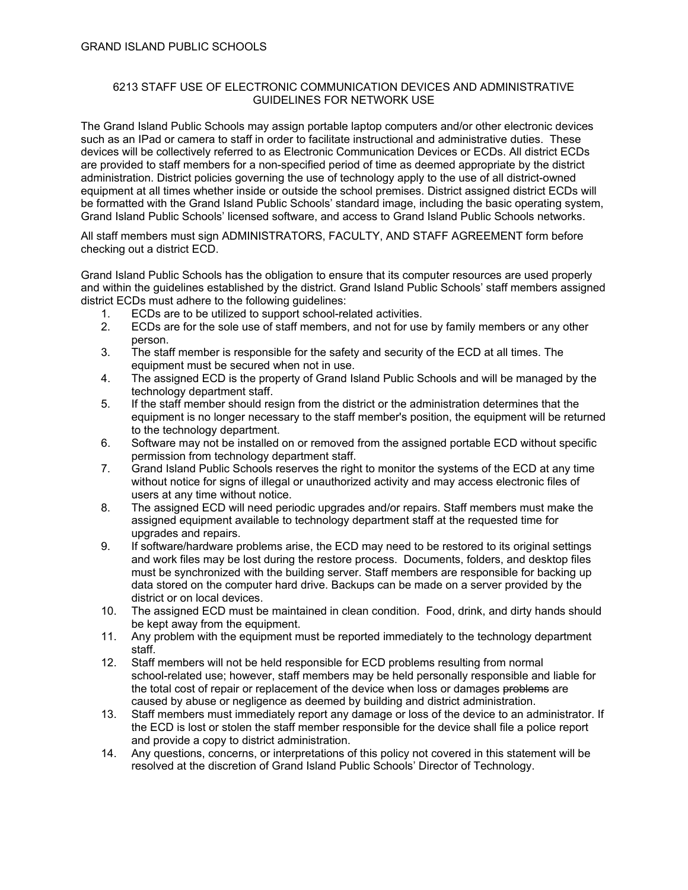## 6213 STAFF USE OF ELECTRONIC COMMUNICATION DEVICES AND ADMINISTRATIVE GUIDELINES FOR NETWORK USE

The Grand Island Public Schools may assign portable laptop computers and/or other electronic devices such as an IPad or camera to staff in order to facilitate instructional and administrative duties. These devices will be collectively referred to as Electronic Communication Devices or ECDs. All district ECDs are provided to staff members for a non-specified period of time as deemed appropriate by the district administration. District policies governing the use of technology apply to the use of all district-owned equipment at all times whether inside or outside the school premises. District assigned district ECDs will be formatted with the Grand Island Public Schools' standard image, including the basic operating system, Grand Island Public Schools' licensed software, and access to Grand Island Public Schools networks.

All staff members must sign ADMINISTRATORS, FACULTY, AND STAFF AGREEMENT form before checking out a district ECD.

Grand Island Public Schools has the obligation to ensure that its computer resources are used properly and within the guidelines established by the district. Grand Island Public Schools' staff members assigned district ECDs must adhere to the following guidelines:

- 1. ECDs are to be utilized to support school-related activities.
- 2. ECDs are for the sole use of staff members, and not for use by family members or any other person.
- 3. The staff member is responsible for the safety and security of the ECD at all times. The equipment must be secured when not in use.
- 4. The assigned ECD is the property of Grand Island Public Schools and will be managed by the technology department staff.
- 5. If the staff member should resign from the district or the administration determines that the equipment is no longer necessary to the staff member's position, the equipment will be returned to the technology department.
- 6. Software may not be installed on or removed from the assigned portable ECD without specific permission from technology department staff.
- 7. Grand Island Public Schools reserves the right to monitor the systems of the ECD at any time without notice for signs of illegal or unauthorized activity and may access electronic files of users at any time without notice.
- 8. The assigned ECD will need periodic upgrades and/or repairs. Staff members must make the assigned equipment available to technology department staff at the requested time for upgrades and repairs.
- 9. If software/hardware problems arise, the ECD may need to be restored to its original settings and work files may be lost during the restore process. Documents, folders, and desktop files must be synchronized with the building server. Staff members are responsible for backing up data stored on the computer hard drive. Backups can be made on a server provided by the district or on local devices.
- 10. The assigned ECD must be maintained in clean condition. Food, drink, and dirty hands should be kept away from the equipment.
- 11. Any problem with the equipment must be reported immediately to the technology department staff.
- 12. Staff members will not be held responsible for ECD problems resulting from normal school-related use; however, staff members may be held personally responsible and liable for the total cost of repair or replacement of the device when loss or damages problems are caused by abuse or negligence as deemed by building and district administration.
- 13. Staff members must immediately report any damage or loss of the device to an administrator. If the ECD is lost or stolen the staff member responsible for the device shall file a police report and provide a copy to district administration.
- 14. Any questions, concerns, or interpretations of this policy not covered in this statement will be resolved at the discretion of Grand Island Public Schools' Director of Technology.